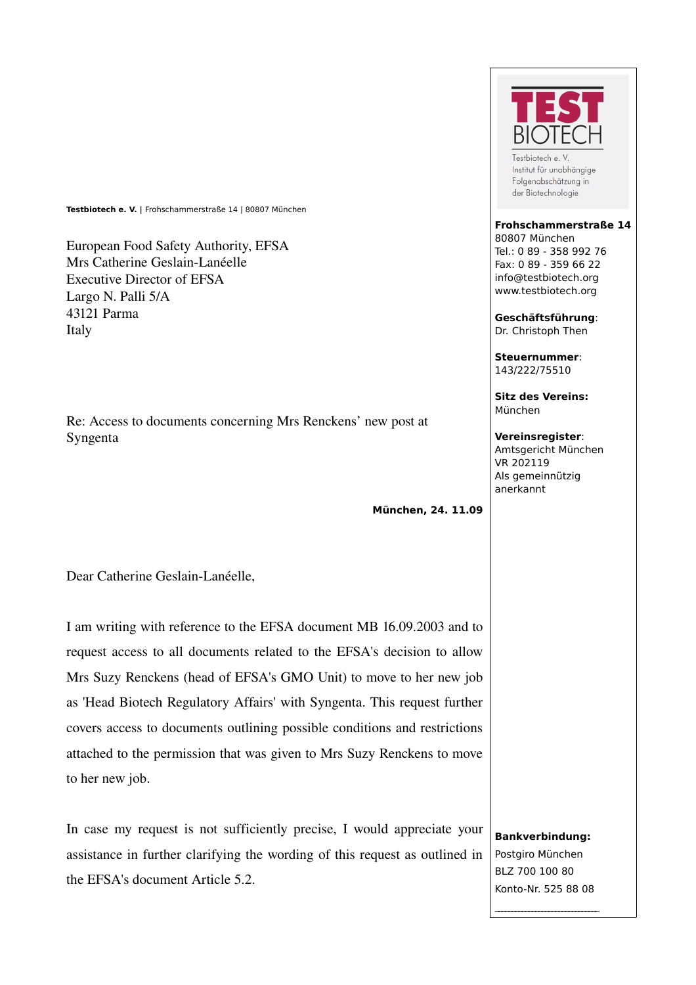**Testbiotech e. V. |** Frohschammerstraße 14 | 80807 München

European Food Safety Authority, EFSA Mrs Catherine Geslain-Lanéelle Executive Director of EFSA Largo N. Palli 5/A 43121 Parma Italy

Re: Access to documents concerning Mrs Renckens' new post at Syngenta

**München, 24. 11.09**

Dear Catherine Geslain-Lanéelle,

I am writing with reference to the EFSA document MB 16.09.2003 and to request access to all documents related to the EFSA's decision to allow Mrs Suzy Renckens (head of EFSA's GMO Unit) to move to her new job as 'Head Biotech Regulatory Affairs' with Syngenta. This request further covers access to documents outlining possible conditions and restrictions attached to the permission that was given to Mrs Suzy Renckens to move to her new job.

In case my request is not sufficiently precise, I would appreciate your assistance in further clarifying the wording of this request as outlined in the EFSA's document Article 5.2.



Testbiotech e. V Institut für unabhängige Folgenabschätzung in der Biotechnologie

## **Frohschammerstraße 14** 80807 München Tel.: 0 89 - 358 992 76 Fax: 0 89 - 359 66 22

info@testbiotech.org www.testbiotech.org

**Geschäftsführung**: Dr. Christoph Then

**Steuernummer**: 143/222/75510

**Sitz des Vereins:** München

## **Vereinsregister**:

Amtsgericht München VR 202119 Als gemeinnützig anerkannt

**Bankverbindung:** Postgiro München BLZ 700 100 80 Konto-Nr. 525 88 08

 $\mathcal{L}_\text{max}$  , where  $\mathcal{L}_\text{max}$  is the set of the set of the set of the set of the set of the set of the set of the set of the set of the set of the set of the set of the set of the set of the set of the set of the se